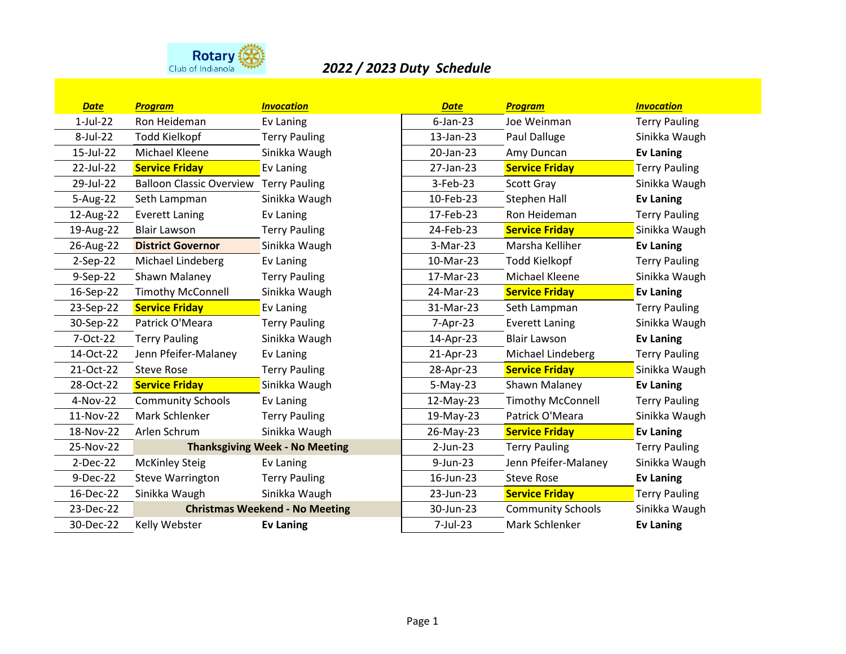

## *2022 / 2023 Duty Schedule*

| <b>Date</b> | <b>Program</b>                                | <b>Invocation</b>    | <b>Date</b> | <b>Program</b>           | <b>Invocation</b>    |
|-------------|-----------------------------------------------|----------------------|-------------|--------------------------|----------------------|
| $1$ -Jul-22 | Ron Heideman                                  | Ev Laning            | $6$ -Jan-23 | Joe Weinman              | <b>Terry Pauling</b> |
| 8-Jul-22    | <b>Todd Kielkopf</b>                          | <b>Terry Pauling</b> | 13-Jan-23   | Paul Dalluge             | Sinikka Waugh        |
| 15-Jul-22   | Michael Kleene                                | Sinikka Waugh        | 20-Jan-23   | Amy Duncan               | <b>Ev Laning</b>     |
| 22-Jul-22   | <b>Service Friday</b>                         | Ev Laning            | 27-Jan-23   | <b>Service Friday</b>    | <b>Terry Pauling</b> |
| 29-Jul-22   | <b>Balloon Classic Overview Terry Pauling</b> |                      | $3-Feb-23$  | Scott Gray               | Sinikka Waugh        |
| 5-Aug-22    | Seth Lampman                                  | Sinikka Waugh        | 10-Feb-23   | Stephen Hall             | <b>Ev Laning</b>     |
| 12-Aug-22   | <b>Everett Laning</b>                         | Ev Laning            | 17-Feb-23   | Ron Heideman             | <b>Terry Pauling</b> |
| 19-Aug-22   | <b>Blair Lawson</b>                           | <b>Terry Pauling</b> | 24-Feb-23   | <b>Service Friday</b>    | Sinikka Waugh        |
| 26-Aug-22   | <b>District Governor</b>                      | Sinikka Waugh        | 3-Mar-23    | Marsha Kelliher          | <b>Ev Laning</b>     |
| $2-Sep-22$  | Michael Lindeberg                             | Ev Laning            | 10-Mar-23   | <b>Todd Kielkopf</b>     | <b>Terry Pauling</b> |
| 9-Sep-22    | Shawn Malaney                                 | <b>Terry Pauling</b> | 17-Mar-23   | Michael Kleene           | Sinikka Waugh        |
| 16-Sep-22   | <b>Timothy McConnell</b>                      | Sinikka Waugh        | 24-Mar-23   | <b>Service Friday</b>    | <b>Ev Laning</b>     |
| 23-Sep-22   | <b>Service Friday</b>                         | Ev Laning            | 31-Mar-23   | Seth Lampman             | <b>Terry Pauling</b> |
| 30-Sep-22   | Patrick O'Meara                               | <b>Terry Pauling</b> | 7-Apr-23    | <b>Everett Laning</b>    | Sinikka Waugh        |
| 7-Oct-22    | <b>Terry Pauling</b>                          | Sinikka Waugh        | 14-Apr-23   | <b>Blair Lawson</b>      | <b>Ev Laning</b>     |
| 14-Oct-22   | Jenn Pfeifer-Malaney                          | Ev Laning            | 21-Apr-23   | Michael Lindeberg        | <b>Terry Pauling</b> |
| 21-Oct-22   | <b>Steve Rose</b>                             | <b>Terry Pauling</b> | 28-Apr-23   | <b>Service Friday</b>    | Sinikka Waugh        |
| 28-Oct-22   | <b>Service Friday</b>                         | Sinikka Waugh        | $5-May-23$  | Shawn Malaney            | <b>Ev Laning</b>     |
| 4-Nov-22    | <b>Community Schools</b>                      | Ev Laning            | 12-May-23   | <b>Timothy McConnell</b> | <b>Terry Pauling</b> |
| 11-Nov-22   | Mark Schlenker                                | <b>Terry Pauling</b> | 19-May-23   | Patrick O'Meara          | Sinikka Waugh        |
| 18-Nov-22   | Arlen Schrum                                  | Sinikka Waugh        | 26-May-23   | <b>Service Friday</b>    | <b>Ev Laning</b>     |
| 25-Nov-22   | <b>Thanksgiving Week - No Meeting</b>         |                      | $2$ -Jun-23 | <b>Terry Pauling</b>     | <b>Terry Pauling</b> |
| 2-Dec-22    | <b>McKinley Steig</b>                         | Ev Laning            | 9-Jun-23    | Jenn Pfeifer-Malaney     | Sinikka Waugh        |
| 9-Dec-22    | <b>Steve Warrington</b>                       | <b>Terry Pauling</b> | 16-Jun-23   | <b>Steve Rose</b>        | <b>Ev Laning</b>     |
| 16-Dec-22   | Sinikka Waugh                                 | Sinikka Waugh        | 23-Jun-23   | <b>Service Friday</b>    | <b>Terry Pauling</b> |
| 23-Dec-22   | <b>Christmas Weekend - No Meeting</b>         |                      | 30-Jun-23   | <b>Community Schools</b> | Sinikka Waugh        |
| 30-Dec-22   | Kelly Webster                                 | <b>Ev Laning</b>     | 7-Jul-23    | Mark Schlenker           | <b>Ev Laning</b>     |